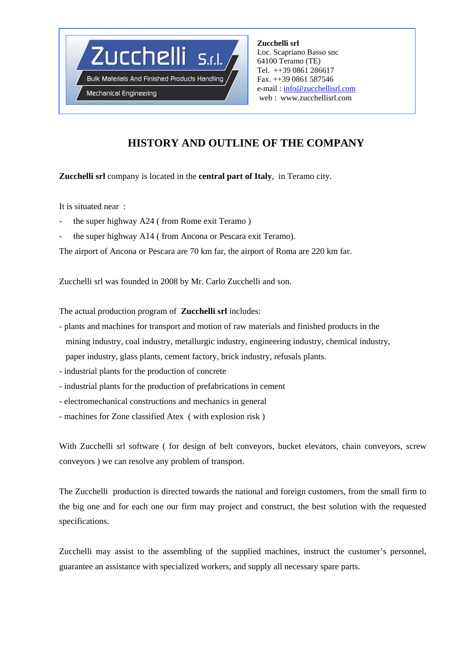

**Mechanical Engineering** 

**Zucchelli srl**  Loc. Scapriano Basso snc 64100 Teramo (TE) Tel. ++39 0861 286617 Fax. ++39 0861 587546 e-mail : info@zucchellisrl.com web : www.zucchellisrl.com

# **HISTORY AND OUTLINE OF THE COMPANY**

### **Zucchelli srl** company is located in the **central part of Italy**, in Teramo city.

It is situated near :

- the super highway A24 ( from Rome exit Teramo )
- the super highway A14 ( from Ancona or Pescara exit Teramo).

The airport of Ancona or Pescara are 70 km far, the airport of Roma are 220 km far.

Zucchelli srl was founded in 2008 by Mr. Carlo Zucchelli and son.

The actual production program of **Zucchelli srl** includes:

- plants and machines for transport and motion of raw materials and finished products in the mining industry, coal industry, metallurgic industry, engineering industry, chemical industry, paper industry, glass plants, cement factory, brick industry, refusals plants.
- industrial plants for the production of concrete
- industrial plants for the production of prefabrications in cement
- electromechanical constructions and mechanics in general
- machines for Zone classified Atex ( with explosion risk )

With Zucchelli srl software ( for design of belt conveyors, bucket elevators, chain conveyors, screw conveyors ) we can resolve any problem of transport.

The Zucchelli production is directed towards the national and foreign customers, from the small firm to the big one and for each one our firm may project and construct, the best solution with the requested specifications.

Zucchelli may assist to the assembling of the supplied machines, instruct the customer's personnel, guarantee an assistance with specialized workers, and supply all necessary spare parts.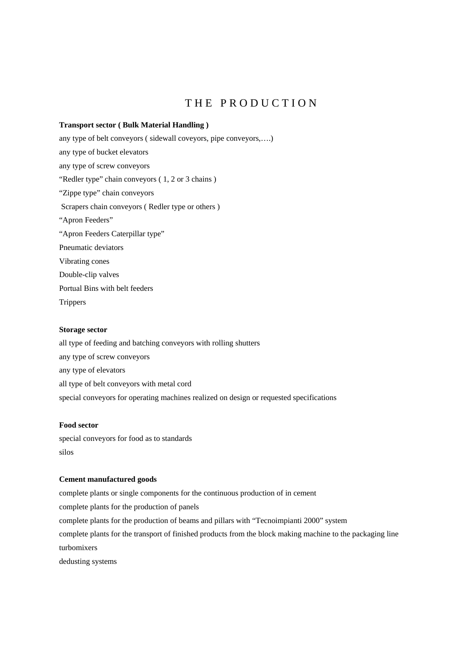## THE PRODUCTION

#### **Transport sector ( Bulk Material Handling )**

any type of belt conveyors ( sidewall coveyors, pipe conveyors,….) any type of bucket elevators any type of screw conveyors "Redler type" chain conveyors (1, 2 or 3 chains) "Zippe type" chain conveyors Scrapers chain conveyors ( Redler type or others ) "Apron Feeders" "Apron Feeders Caterpillar type" Pneumatic deviators Vibrating cones Double-clip valves Portual Bins with belt feeders **Trippers** 

#### **Storage sector**

all type of feeding and batching conveyors with rolling shutters any type of screw conveyors any type of elevators all type of belt conveyors with metal cord special conveyors for operating machines realized on design or requested specifications

#### **Food sector**

special conveyors for food as to standards silos

#### **Cement manufactured goods**

complete plants or single components for the continuous production of in cement complete plants for the production of panels complete plants for the production of beams and pillars with "Tecnoimpianti 2000" system complete plants for the transport of finished products from the block making machine to the packaging line turbomixers dedusting systems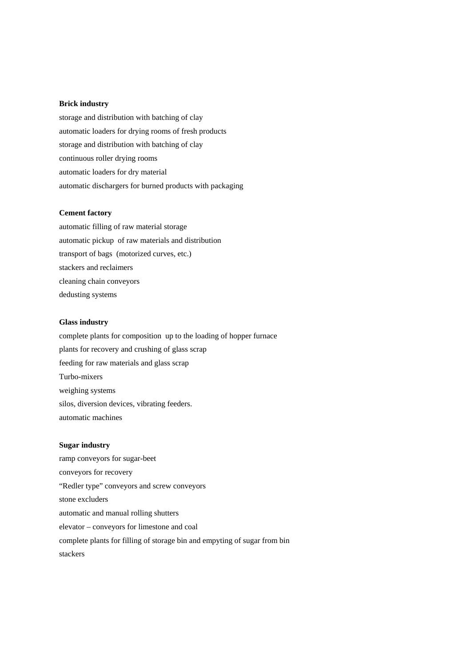#### **Brick industry**

storage and distribution with batching of clay automatic loaders for drying rooms of fresh products storage and distribution with batching of clay continuous roller drying rooms automatic loaders for dry material automatic dischargers for burned products with packaging

#### **Cement factory**

automatic filling of raw material storage automatic pickup of raw materials and distribution transport of bags (motorized curves, etc.) stackers and reclaimers cleaning chain conveyors dedusting systems

#### **Glass industry**

complete plants for composition up to the loading of hopper furnace plants for recovery and crushing of glass scrap feeding for raw materials and glass scrap Turbo-mixers weighing systems silos, diversion devices, vibrating feeders. automatic machines

#### **Sugar industry**

ramp conveyors for sugar-beet conveyors for recovery "Redler type" conveyors and screw conveyors stone excluders automatic and manual rolling shutters elevator – conveyors for limestone and coal complete plants for filling of storage bin and empyting of sugar from bin stackers